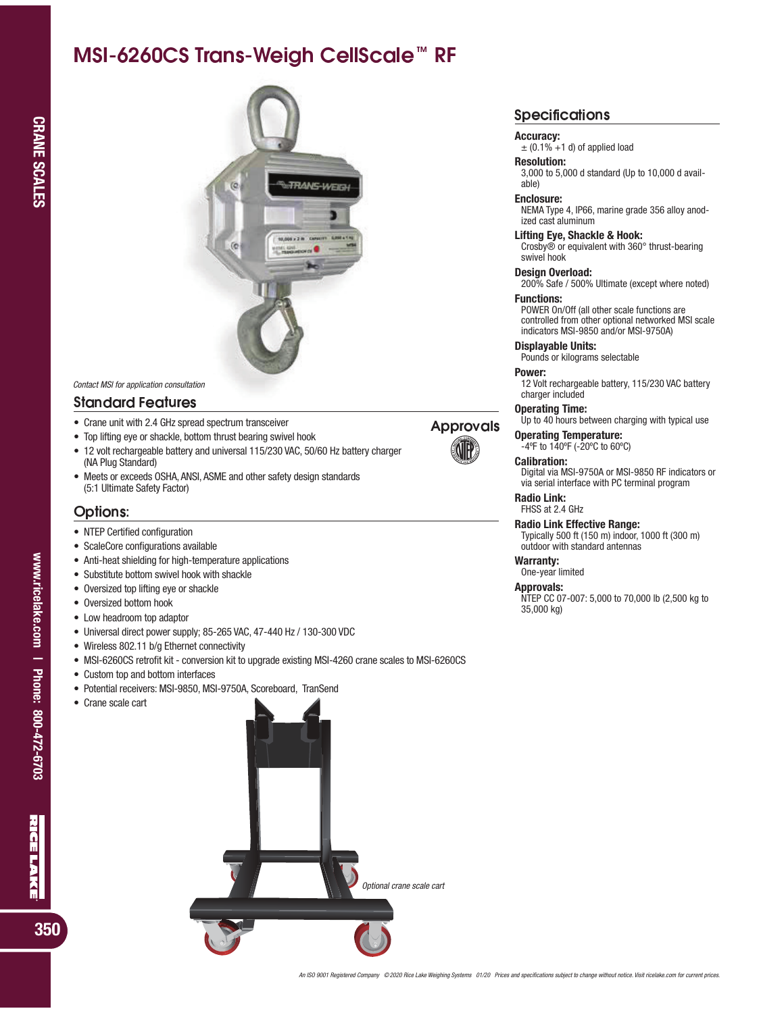# ---------------------------------



Contact MSI for application consultation

## ! " " # \$ % \$

- Crane unit with 2.4 GHz spread spectrum transceiver
- Top lifting eye or shackle, bottom thrust bearing swivel hook
- 12 volt rechargeable battery and universal 115/230 VAC, 50/60 Hz battery charger (NA Plug Standard)
- Meets or exceeds OSHA, ANSI, ASME and other safety design standards (5:1 Ultimate Safety Factor)

# **Options**

- NTEP Certified configuration
- ScaleCore configurations available
- Anti-heat shielding for high-temperature applications
- Substitute bottom swivel hook with shackle
- Oversized top lifting eye or shackle
- Oversized bottom hook
- Low headroom top adaptor
- Universal direct power supply; 85-265 VAC, 47-440 Hz / 130-300 VDC
- Wireless 802.11 b/g Ethernet connectivity
- MSI-6260CS retrofit kit conversion kit to upgrade existing MSI-4260 crane scales to MSI-6260CS
- Custom top and bottom interfaces
- Potential receivers: MSI-9850, MSI-9750A, Scoreboard, TranSend
- Crane scale cart



# **Specification**

### Accuracy:

 $\pm$  (0.1% +1 d) of applied load

# Resolution:

3,000 to 5,000 d standard (Up to 10,000 d available)

#### Enclosure:

NEMA Type 4, IP66, marine grade 356 alloy anodized cast aluminum

#### Lifting Eye, Shackle & Hook:

Crosby® or equivalent with 360° thrust-bearing swivel hook Design Overload:

200% Safe / 500% Ultimate (except where noted) Functions:

POWER On/Off (all other scale functions are controlled from other optional networked MSI scale indicators MSI-9850 and/or MSI-9750A)

Displayable Units:

Pounds or kilograms selectable

#### Power:

12 Volt rechargeable battery, 115/230 VAC battery charger included

# Operating Time:

Up to 40 hours between charging with typical use

#### Operating Temperature:

-4ºF to 140ºF (-20ºC to 60ºC)

# Calibration:

Digital via MSI-9750A or MSI-9850 RF indicators or via serial interface with PC terminal program

#### Radio Link:

FHSS at 2.4 GHz

# Radio Link Effective Range:

Typically 500 ft (150 m) indoor, 1000 ft (300 m) outdoor with standard antennas

#### Warranty:

One-year limited

### Approvals:

NTEP CC 07-007: 5,000 to 70,000 lb (2,500 kg to 35,000 kg)

RIGE LAKE